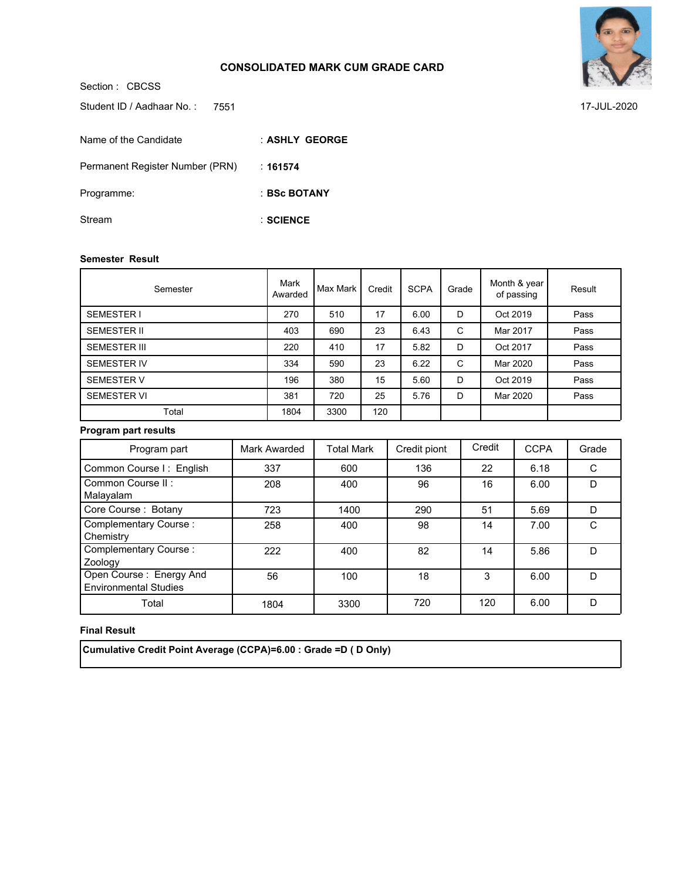**SCIENCE** :



7551 17-JUL-2020

Section : CBCSS **ASHLY GEORGE** : **161574** : **BSc BOTANY** : Student ID / Aadhaar No.: 7551 Name of the Candidate Permanent Register Number (PRN) Programme: Stream

#### **Semester Result**

| Semester            | Mark<br>Awarded | Max Mark | Credit | <b>SCPA</b> | Grade | Month & year<br>of passing | Result |
|---------------------|-----------------|----------|--------|-------------|-------|----------------------------|--------|
| <b>SEMESTER I</b>   | 270             | 510      | 17     | 6.00        | D     | Oct 2019                   | Pass   |
| <b>SEMESTER II</b>  | 403             | 690      | 23     | 6.43        | C     | Mar 2017                   | Pass   |
| <b>SEMESTER III</b> | 220             | 410      | 17     | 5.82        | D     | Oct 2017                   | Pass   |
| <b>SEMESTER IV</b>  | 334             | 590      | 23     | 6.22        | C     | Mar 2020                   | Pass   |
| <b>SEMESTER V</b>   | 196             | 380      | 15     | 5.60        | D     | Oct 2019                   | Pass   |
| <b>SEMESTER VI</b>  | 381             | 720      | 25     | 5.76        | D     | Mar 2020                   | Pass   |
| Total               | 1804            | 3300     | 120    |             |       |                            |        |

# **Program part results**

| Program part                                            | Mark Awarded | <b>Total Mark</b> | Credit piont | Credit | <b>CCPA</b> | Grade |
|---------------------------------------------------------|--------------|-------------------|--------------|--------|-------------|-------|
| Common Course I: English                                | 337          | 600               | 136          | 22     | 6.18        |       |
| Common Course II:<br>Malayalam                          | 208          | 400               | 96           | 16     | 6.00        | D     |
| Core Course: Botany                                     | 723          | 1400              | 290          | 51     | 5.69        | D     |
| <b>Complementary Course:</b><br>Chemistry               | 258          | 400               | 98           | 14     | 7.00        |       |
| Complementary Course:<br>Zoology                        | 222          | 400               | 82           | 14     | 5.86        | D     |
| Open Course: Energy And<br><b>Environmental Studies</b> | 56           | 100               | 18           | 3      | 6.00        | D     |
| Total                                                   | 1804         | 3300              | 720          | 120    | 6.00        | D     |

# **Final Result**

 **Cumulative Credit Point Average (CCPA)=6.00 : Grade =D ( D Only)**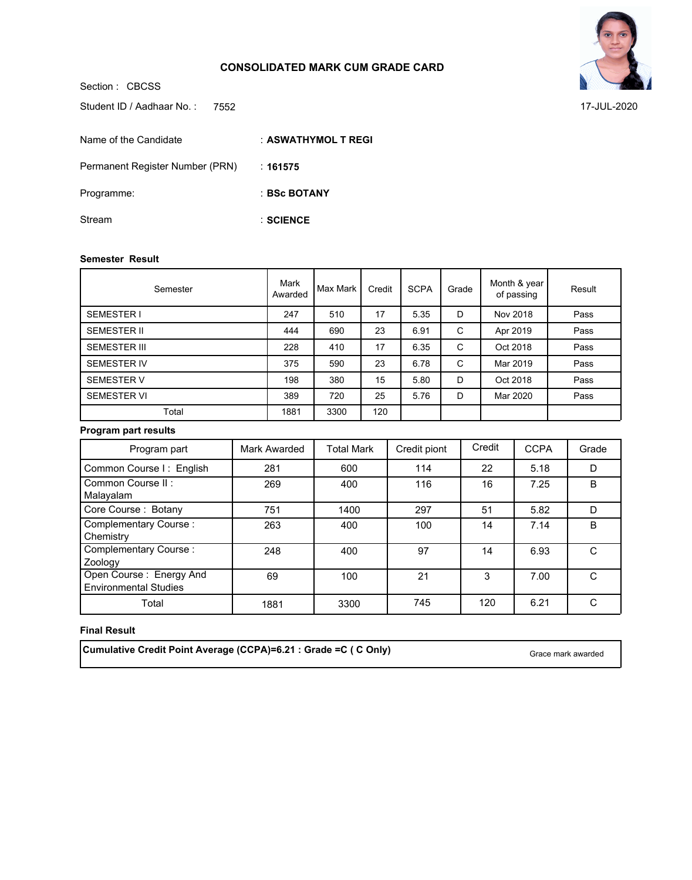

7552 17-JUL-2020

Student ID / Aadhaar No.: 7552

| Name of the Candidate           | : ASWATHYMOL T REGI |
|---------------------------------|---------------------|
| Permanent Register Number (PRN) | ∴ 161575            |
| Programme:                      | : BSc BOTANY        |
| Stream                          | $:$ SCIENCE         |

#### **Semester Result**

Section : CBCSS

| Semester            | Mark<br>Awarded | Max Mark | Credit | <b>SCPA</b> | Grade | Month & year<br>of passing | Result |
|---------------------|-----------------|----------|--------|-------------|-------|----------------------------|--------|
| <b>SEMESTER I</b>   | 247             | 510      | 17     | 5.35        | D     | Nov 2018                   | Pass   |
| <b>SEMESTER II</b>  | 444             | 690      | 23     | 6.91        | C     | Apr 2019                   | Pass   |
| <b>SEMESTER III</b> | 228             | 410      | 17     | 6.35        | C     | Oct 2018                   | Pass   |
| <b>SEMESTER IV</b>  | 375             | 590      | 23     | 6.78        | C     | Mar 2019                   | Pass   |
| <b>SEMESTER V</b>   | 198             | 380      | 15     | 5.80        | D     | Oct 2018                   | Pass   |
| <b>SEMESTER VI</b>  | 389             | 720      | 25     | 5.76        | D     | Mar 2020                   | Pass   |
| Total               | 1881            | 3300     | 120    |             |       |                            |        |

# **Program part results**

| Program part                                            | Mark Awarded | <b>Total Mark</b> | Credit piont | Credit | <b>CCPA</b> | Grade |
|---------------------------------------------------------|--------------|-------------------|--------------|--------|-------------|-------|
| Common Course I: English                                | 281          | 600               | 114          | 22     | 5.18        | D     |
| Common Course II:<br>Malayalam                          | 269          | 400               | 116          | 16     | 7.25        | B     |
| Core Course: Botany                                     | 751          | 1400              | 297          | 51     | 5.82        | D     |
| <b>Complementary Course:</b><br>Chemistry               | 263          | 400               | 100          | 14     | 7.14        | B     |
| Complementary Course:<br>Zoology                        | 248          | 400               | 97           | 14     | 6.93        | C     |
| Open Course: Energy And<br><b>Environmental Studies</b> | 69           | 100               | 21           | 3      | 7.00        | C     |
| Total                                                   | 1881         | 3300              | 745          | 120    | 6.21        |       |

## **Final Result**

**Cumulative Credit Point Average (CCPA)=6.21 : Grade =C ( C Only)** Grace mark awarded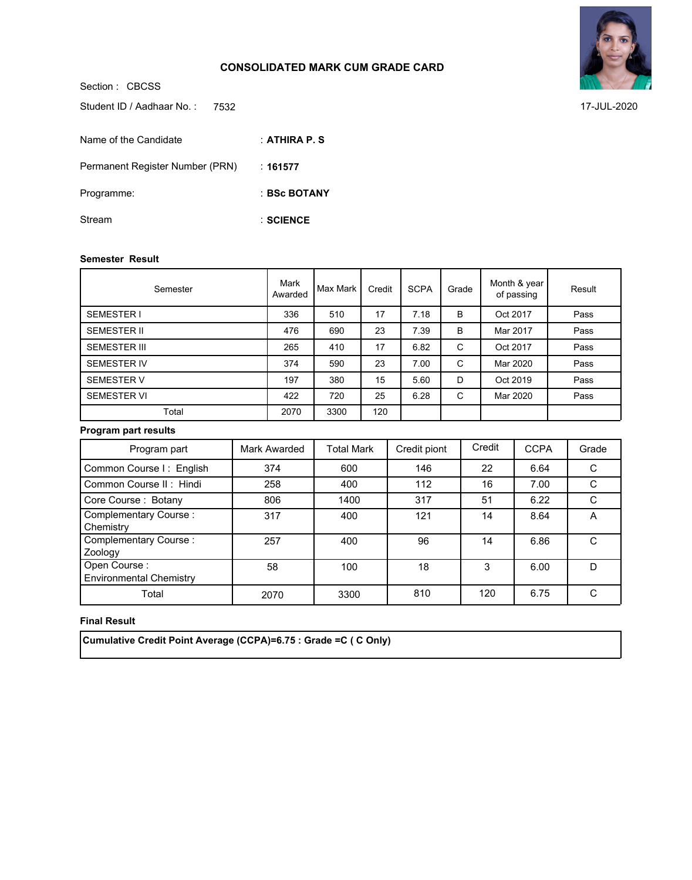Section : CBCSS **ATHIRA P. S** : **161577** : **BSc BOTANY** : **SCIENCE** : Student ID / Aadhaar No.: 7532 Name of the Candidate Permanent Register Number (PRN) Programme: Stream

#### **Semester Result**

| Semester            | Mark<br>Awarded | Max Mark | Credit | <b>SCPA</b> | Grade | Month & year<br>of passing | Result |
|---------------------|-----------------|----------|--------|-------------|-------|----------------------------|--------|
| <b>SEMESTER I</b>   | 336             | 510      | 17     | 7.18        | B     | Oct 2017                   | Pass   |
| <b>SEMESTER II</b>  | 476             | 690      | 23     | 7.39        | B     | Mar 2017                   | Pass   |
| <b>SEMESTER III</b> | 265             | 410      | 17     | 6.82        | C     | Oct 2017                   | Pass   |
| <b>SEMESTER IV</b>  | 374             | 590      | 23     | 7.00        | C     | Mar 2020                   | Pass   |
| <b>SEMESTER V</b>   | 197             | 380      | 15     | 5.60        | D     | Oct 2019                   | Pass   |
| <b>SEMESTER VI</b>  | 422             | 720      | 25     | 6.28        | C     | Mar 2020                   | Pass   |
| Total               | 2070            | 3300     | 120    |             |       |                            |        |

### **Program part results**

| Program part                                   | Mark Awarded | <b>Total Mark</b> | Credit piont | Credit | <b>CCPA</b> | Grade |
|------------------------------------------------|--------------|-------------------|--------------|--------|-------------|-------|
| Common Course I: English                       | 374          | 600               | 146          | 22     | 6.64        |       |
| Common Course II: Hindi                        | 258          | 400               | 112          | 16     | 7.00        |       |
| Core Course: Botany                            | 806          | 1400              | 317          | 51     | 6.22        | C     |
| <b>Complementary Course:</b><br>Chemistry      | 317          | 400               | 121          | 14     | 8.64        | A     |
| <b>Complementary Course:</b><br>Zoology        | 257          | 400               | 96           | 14     | 6.86        | C     |
| Open Course:<br><b>Environmental Chemistry</b> | 58           | 100               | 18           | 3      | 6.00        | D     |
| Total                                          | 2070         | 3300              | 810          | 120    | 6.75        | C     |

### **Final Result**

 **Cumulative Credit Point Average (CCPA)=6.75 : Grade =C ( C Only)**



7532 17-JUL-2020